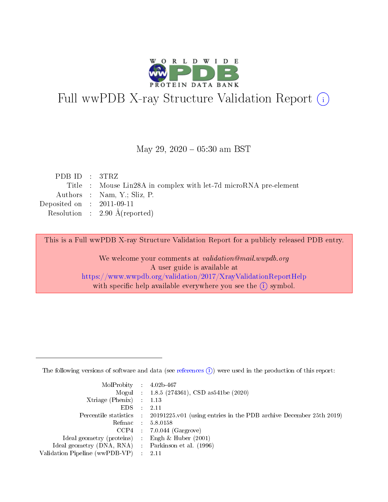

## Full wwPDB X-ray Structure Validation Report (i)

#### May 29,  $2020 - 05:30$  am BST

| PDB ID : 3TRZ               |                                                                  |
|-----------------------------|------------------------------------------------------------------|
|                             | Title : Mouse Lin28A in complex with let-7d microRNA pre-element |
|                             | Authors : Nam, Y.; Sliz, P.                                      |
| Deposited on : $2011-09-11$ |                                                                  |
|                             | Resolution : $2.90 \text{ Å}$ (reported)                         |

This is a Full wwPDB X-ray Structure Validation Report for a publicly released PDB entry.

We welcome your comments at validation@mail.wwpdb.org A user guide is available at <https://www.wwpdb.org/validation/2017/XrayValidationReportHelp> with specific help available everywhere you see the  $(i)$  symbol.

The following versions of software and data (see [references](https://www.wwpdb.org/validation/2017/XrayValidationReportHelp#references)  $(1)$ ) were used in the production of this report:

| $MolProbability$ : 4.02b-467                        |                                                                                            |
|-----------------------------------------------------|--------------------------------------------------------------------------------------------|
|                                                     | Mogul : 1.8.5 (274361), CSD as 541be (2020)                                                |
| Xtriage (Phenix) $: 1.13$                           |                                                                                            |
| EDS :                                               | -2.11                                                                                      |
|                                                     | Percentile statistics : 20191225.v01 (using entries in the PDB archive December 25th 2019) |
| Refmac 58.0158                                      |                                                                                            |
|                                                     | $CCP4$ 7.0.044 (Gargrove)                                                                  |
| Ideal geometry (proteins) : Engh $\&$ Huber (2001)  |                                                                                            |
| Ideal geometry (DNA, RNA) : Parkinson et al. (1996) |                                                                                            |
| Validation Pipeline (wwPDB-VP) : 2.11               |                                                                                            |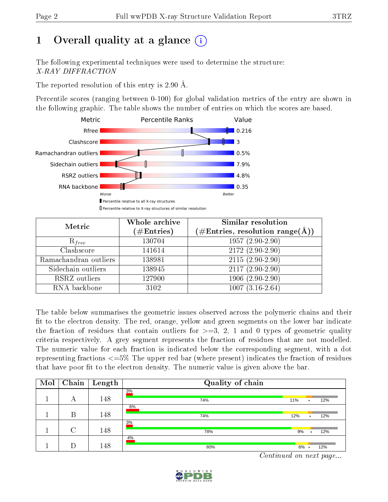## 1 [O](https://www.wwpdb.org/validation/2017/XrayValidationReportHelp#overall_quality)verall quality at a glance  $(i)$

The following experimental techniques were used to determine the structure: X-RAY DIFFRACTION

The reported resolution of this entry is 2.90 Å.

Percentile scores (ranging between 0-100) for global validation metrics of the entry are shown in the following graphic. The table shows the number of entries on which the scores are based.



| Metric                | Whole archive        | <b>Similar resolution</b>                                 |
|-----------------------|----------------------|-----------------------------------------------------------|
|                       | $(\#\text{Entries})$ | $(\#\text{Entries}, \text{resolution range}(\text{\AA}))$ |
| $R_{free}$            | 130704               | $1957(2.90-2.90)$                                         |
| Clashscore            | 141614               | $2172(2.90-2.90)$                                         |
| Ramachandran outliers | 138981               | $2115(2.90-2.90)$                                         |
| Sidechain outliers    | 138945               | $2117(2.90-2.90)$                                         |
| RSRZ outliers         | 127900               | $1906(2.90-2.90)$                                         |
| RNA backbone          | 3102                 | $1007(3.16-2.64)$                                         |

The table below summarises the geometric issues observed across the polymeric chains and their fit to the electron density. The red, orange, yellow and green segments on the lower bar indicate the fraction of residues that contain outliers for  $>=3, 2, 1$  and 0 types of geometric quality criteria respectively. A grey segment represents the fraction of residues that are not modelled. The numeric value for each fraction is indicated below the corresponding segment, with a dot representing fractions  $\epsilon = 5\%$  The upper red bar (where present) indicates the fraction of residues that have poor fit to the electron density. The numeric value is given above the bar.

| Mol | Chain  | Length | Quality of chain |         |           |     |  |  |
|-----|--------|--------|------------------|---------|-----------|-----|--|--|
|     | А      | 148    | 3%<br>74%        | 11%     | ٠         | 12% |  |  |
|     | B      | 148    | 6%<br>74%        | 12%     | ٠         | 12% |  |  |
|     | $\cap$ | 148    | 3%<br>78%        | 9%      | $\bullet$ | 12% |  |  |
|     |        | 148    | 4%<br>80%        | $6\%$ . |           | 12% |  |  |

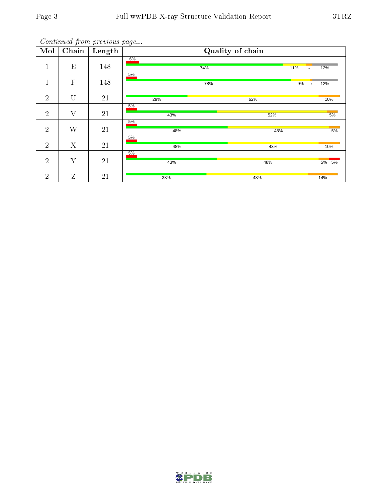| Mol            | $\overline{\text{Chain}}$ | $\sim$<br>Length |              | Quality of chain |                  |
|----------------|---------------------------|------------------|--------------|------------------|------------------|
| 1<br>T         | E                         | 148              | $6\%$<br>74% | 11%              | 12%<br>$\bullet$ |
| T              | $\mathbf{F}$              | 148              | 5%<br>78%    | 9%               | 12%<br>$\bullet$ |
| $\overline{2}$ | U                         | 21               | 29%          | 62%              | 10%              |
| $\overline{2}$ | $\rm V$                   | 21               | 5%<br>43%    | 52%              | 5%               |
| $\overline{2}$ | W                         | 21               | 5%<br>48%    | 48%              | 5%               |
| $\overline{2}$ | X                         | $21\,$           | 5%<br>48%    | 43%              | 10%              |
| $\overline{2}$ | Y                         | 21               | 5%<br>43%    | 48%              | 5% 5%            |
| $\overline{2}$ | Z                         | 21               | 38%          | 48%              | 14%              |

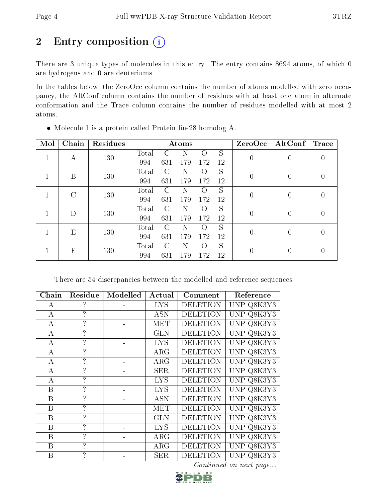## 2 Entry composition (i)

There are 3 unique types of molecules in this entry. The entry contains 8694 atoms, of which 0 are hydrogens and 0 are deuteriums.

In the tables below, the ZeroOcc column contains the number of atoms modelled with zero occupancy, the AltConf column contains the number of residues with at least one atom in alternate conformation and the Trace column contains the number of residues modelled with at most 2 atoms.

| Mol | Chain       | Residues |       |               | Atoms |                  |    | ZeroOcc          | $\operatorname{AltConf}$ | <b>Trace</b>   |  |
|-----|-------------|----------|-------|---------------|-------|------------------|----|------------------|--------------------------|----------------|--|
|     | А           | 130      | Total | C             | Ν     | Ω                | S  | $\overline{0}$   | 0                        | $\theta$       |  |
|     |             |          | 994   | 631           | 179   | 172              | 12 |                  |                          |                |  |
|     | B           | 130      | Total | $\Gamma$      | Ν     | $\left( \right)$ | S  | $\overline{0}$   | 0                        | $\Omega$       |  |
|     |             |          | 994   | 631           | 179   | 172              | 12 |                  |                          |                |  |
|     | $\rm C$     | 130      | Total | $\Gamma$      | Ν     | $\left( \right)$ | S  | $\boldsymbol{0}$ | $\overline{0}$           | $\overline{0}$ |  |
|     |             |          | 994   | 631           | 179   | 172              | 12 |                  |                          |                |  |
|     | D           | 130      | Total | $\mathcal{C}$ | N     | $\left($         | S  | $\overline{0}$   | 0                        |                |  |
|     |             |          | 994   | 631           | 179   | 172              | 12 |                  |                          | $\theta$       |  |
|     | E           | 130      | Total | $\bigcap$     | Ν     | $\left( \right)$ | S  | $\overline{0}$   | 0                        | $\Omega$       |  |
|     |             |          | 994   | 631           | 179   | 172              | 12 |                  |                          |                |  |
|     | $\mathbf F$ |          | Total | $\Gamma$      | N     | $\Omega$         | S  |                  |                          |                |  |
|     |             | 130      | 994   | 631           | 179   | 172              | 12 | $\overline{0}$   | 0                        | $\Omega$       |  |

Molecule 1 is a protein called Protein lin-28 homolog A.

There are 54 discrepancies between the modelled and reference sequences:

| Chain            | Residue               | Modelled | Actual     | Comment         | Reference  |
|------------------|-----------------------|----------|------------|-----------------|------------|
| А                | 7                     |          | <b>LYS</b> | <b>DELETION</b> | UNP Q8K3Y3 |
| $\boldsymbol{A}$ | ?                     |          | <b>ASN</b> | <b>DELETION</b> | UNP Q8K3Y3 |
| А                | 7                     |          | MET        | <b>DELETION</b> | UNP Q8K3Y3 |
| A                | ?                     |          | GLN        | <b>DELETION</b> | UNP Q8K3Y3 |
| А                | 7                     |          | <b>LYS</b> | <b>DELETION</b> | UNP Q8K3Y3 |
| А                | ?                     |          | ARG        | <b>DELETION</b> | UNP Q8K3Y3 |
| А                | ?                     |          | ARG        | <b>DELETION</b> | UNP Q8K3Y3 |
| А                | $\boldsymbol{\gamma}$ |          | <b>SER</b> | <b>DELETION</b> | UNP Q8K3Y3 |
| А                | ?                     |          | <b>LYS</b> | <b>DELETION</b> | UNP Q8K3Y3 |
| B                | $\mathcal{P}$         |          | <b>LYS</b> | <b>DELETION</b> | UNP Q8K3Y3 |
| B                | $\mathcal{P}$         |          | <b>ASN</b> | <b>DELETION</b> | UNP Q8K3Y3 |
| B                | 7                     |          | MET        | <b>DELETION</b> | UNP Q8K3Y3 |
| B                | $\mathcal{P}$         |          | <b>GLN</b> | <b>DELETION</b> | UNP Q8K3Y3 |
| B                | ?                     |          | <b>LYS</b> | <b>DELETION</b> | UNP Q8K3Y3 |
| B                | ?                     |          | ARG        | <b>DELETION</b> | UNP Q8K3Y3 |
| B                | ?                     |          | $\rm{ARG}$ | <b>DELETION</b> | UNP Q8K3Y3 |
| B                | ?                     |          | <b>SER</b> | <b>DELETION</b> | UNP Q8K3Y3 |

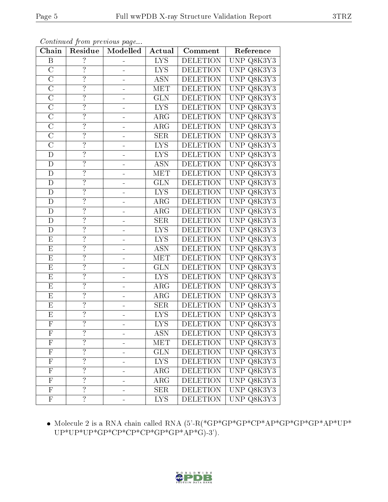| Chain                   | Residue            | Modelled | Actual                  | Comment         | Reference                             |
|-------------------------|--------------------|----------|-------------------------|-----------------|---------------------------------------|
| $\, {\bf B}$            | $\overline{?}$     |          | <b>LYS</b>              | <b>DELETION</b> | UNP Q8K3Y3                            |
| $\overline{\rm C}$      | $\overline{?}$     |          | <b>LYS</b>              | <b>DELETION</b> | UNP Q8K3Y3                            |
| $\overline{\rm C}$      | $\overline{?}$     |          | <b>ASN</b>              | <b>DELETION</b> | UNP Q8K3Y3                            |
| $\mathcal{C}$           | $\overline{\cdot}$ |          | MET                     | <b>DELETION</b> | UNP Q8K3Y3                            |
| $\overline{\rm C}$      | $\overline{?}$     | -        | GLN                     | <b>DELETION</b> | UNP Q8K3Y3                            |
| $\mathcal{C}$           | $\overline{?}$     | -        | <b>LYS</b>              | <b>DELETION</b> | UNP $Q8K3\overline{Y3}$               |
| $\overline{\rm C}$      | $\overline{?}$     | -        | $\rm{ARG}$              | <b>DELETION</b> | UNP Q8K3Y3                            |
| $\overline{C}$          | $\overline{?}$     | -        | $\overline{\rm{ARG}}$   | <b>DELETION</b> | UNP Q8K3Y3                            |
| $\mathcal{C}$           | $\overline{?}$     | -        | <b>SER</b>              | <b>DELETION</b> | UNP Q8K3Y3                            |
| $\overline{\rm C}$      | $\overline{?}$     |          | <b>LYS</b>              | <b>DELETION</b> | UNP Q8K3Y3                            |
| D                       | $\overline{?}$     |          | <b>LYS</b>              | <b>DELETION</b> | UNP Q8K3Y3                            |
| $\mathbf D$             | ?                  | -        | <b>ASN</b>              | <b>DELETION</b> | UNP Q8K3Y3                            |
| $\overline{D}$          | $\overline{\cdot}$ |          | MET                     | <b>DELETION</b> | UNP Q8K3Y3                            |
| $\mathbf D$             | $\ddot{.}$         | -        | <b>GLN</b>              | <b>DELETION</b> | UNP Q8K3Y3                            |
| $\overline{\mathrm{D}}$ | $\overline{?}$     |          | $\overline{\text{LYS}}$ | <b>DELETION</b> | UNP Q8K3Y3                            |
| $\mathbf D$             | $\overline{?}$     | -        | $\rm{ARG}$              | <b>DELETION</b> | UNP Q8K3Y3                            |
| $\overline{\rm D}$      | $\overline{?}$     |          | $\overline{\rm{ARG}}$   | <b>DELETION</b> | UNP Q8K3Y3                            |
| ${\rm D}$               | $\ddot{?}$         | -        | <b>SER</b>              | <b>DELETION</b> | UNP Q8K3Y3                            |
| D                       | $\ddot{.}$         | -        | $\overline{\text{LYS}}$ | <b>DELETION</b> | UNP Q8K3Y3                            |
| E                       | $\overline{?}$     | -        | <b>LYS</b>              | <b>DELETION</b> | UNP Q8K3Y3                            |
| ${\bf E}$               | $\overline{?}$     |          | <b>ASN</b>              | <b>DELETION</b> | UNP Q8K3Y3                            |
| $\overline{E}$          | $\overline{?}$     |          | <b>MET</b>              | <b>DELETION</b> | UNP Q8K3Y3                            |
| ${\bf E}$               | $\overline{\cdot}$ |          | <b>GLN</b>              | <b>DELETION</b> | UNP Q8K3Y3                            |
| $\overline{\mathrm{E}}$ | $\overline{?}$     | -        | <b>LYS</b>              | <b>DELETION</b> | $\overline{\text{UNP Q8K3}}\text{Y3}$ |
| ${\rm E}$               | $\overline{?}$     | -        | $\rm{ARG}$              | <b>DELETION</b> | UNP Q8K3Y3                            |
| ${\bf E}$               | $\overline{?}$     | $\equiv$ | $\rm{ARG}$              | <b>DELETION</b> | $\overline{\text{UNP Q8K3}}\text{Y3}$ |
| $\mathbf E$             | $\overline{?}$     | ÷        | SER                     | <b>DELETION</b> | UNP Q8K3Y3                            |
| E                       | $\ddot{?}$         | -        | ${\rm LYS}$             | <b>DELETION</b> | UNP Q8K3Y3                            |
| $\overline{F}$          | $\overline{?}$     |          | $\overline{\text{LYS}}$ | <b>DELETION</b> | $UNP$ Q8K3Y3                          |
| F                       | $\overline{\cdot}$ |          | <b>ASN</b>              | <b>DELETION</b> | UNP Q8K3Y3                            |
| $\mathbf F$             | $\overline{?}$     |          | MET                     | <b>DELETION</b> | UNP Q8K3Y3                            |
| $\overline{\mathrm{F}}$ | $\overline{?}$     |          | GLN                     | <b>DELETION</b> | UNP Q8K3Y3                            |
| $\mathbf F$             | $\ddot{?}$         | -        | <b>LYS</b>              | <b>DELETION</b> | UNP Q8K3Y3                            |
| $\mathbf F$             | $\overline{?}$     | -        | $\overline{\rm{ARG}}$   | <b>DELETION</b> | UNP Q8K3Y3                            |
| ${\bf F}$               | $\overline{\cdot}$ | ÷        | $\rm{ARG}$              | <b>DELETION</b> | UNP Q8K3Y3                            |
| ${\bf F}$               | $\overline{?}$     |          | <b>SER</b>              | <b>DELETION</b> | UNP Q8K3Y3                            |
| $\mathbf F$             | $\overline{?}$     | -        | <b>LYS</b>              | <b>DELETION</b> | UNP Q8K3Y3                            |

 Molecule 2 is a RNA chain called RNA (5'-R(\*GP\*GP\*GP\*CP\*AP\*GP\*GP\*GP\*AP\*UP\* UP\*UP\*UP\*GP\*CP\*CP\*CP\*GP\*GP\*AP\*G)-3').

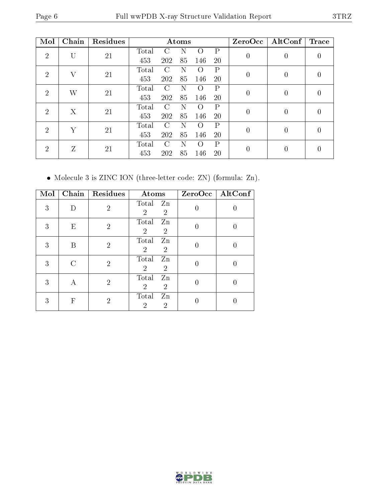| Mol            | Chain        | Residues |       |                        | Atoms |                  |              | ZeroOcc        | $\operatorname{AltConf}$ | <b>Trace</b>     |  |
|----------------|--------------|----------|-------|------------------------|-------|------------------|--------------|----------------|--------------------------|------------------|--|
| $\overline{2}$ | U            | 21       | Total |                        |       | $\left( \right)$ | P            | $\theta$       | 0                        | $\left( \right)$ |  |
|                |              |          | 453   | 202                    | 85    | 146              | 20           |                |                          |                  |  |
| $\overline{2}$ | $\mathbf{V}$ | 21       | Total | $\mathcal{C}$          | N     | $\left( \right)$ | $\mathbf{P}$ | $\overline{0}$ | $\overline{0}$           |                  |  |
|                |              |          | 453   | 202                    | 85    | 146              | 20           |                |                          |                  |  |
| 2              | W            | 21       | Total | $\left( \cdot \right)$ | N     |                  | P            | 0              | $\overline{0}$           | $\left( \right)$ |  |
|                |              |          | 453   | 202                    | 85    | 146              | 20           |                |                          |                  |  |
| $\overline{2}$ | X            | 21       | Total |                        |       |                  | P            | $\Omega$       | $\theta$                 |                  |  |
|                |              |          | 453   | 202                    | 85    | 146              | 20           |                |                          |                  |  |
| 2              | Y            | 21       | Total | $\mathcal{C}$          | N     |                  | $\mathbf{P}$ | $\theta$       | $\overline{0}$           | $\left( \right)$ |  |
|                |              |          | 453   | 202                    | 85    | 146              | 20           |                |                          |                  |  |
| 2              | Z            | 21       | Total | $\mathcal{C}$          | N     | $\left( \right)$ | $\rm P$      | 0              | $\theta$                 |                  |  |
|                |              |          | 453   | 202                    | 85    | 146              | 20           |                |                          |                  |  |

Molecule 3 is ZINC ION (three-letter code: ZN) (formula: Zn).

| Mol |   | Chain   Residues | Atoms                                           | ZeroOcc   AltConf |
|-----|---|------------------|-------------------------------------------------|-------------------|
| 3   |   | $\mathcal{P}$    | Total Zn<br>$\overline{2}$<br>$\overline{2}$    |                   |
| 3   | Ε | $\overline{2}$   | Total<br>Zn<br>$\overline{2}$<br>2              |                   |
| 3   | В | $\overline{2}$   | Total<br>Zn<br>$\overline{2}$<br>$\overline{2}$ |                   |
| 3   |   | $\overline{2}$   | Total<br>Zn<br>$\overline{2}$<br>$\overline{2}$ |                   |
| 3   | А | $\overline{2}$   | Total<br>Zn<br>$\overline{2}$<br>$\overline{2}$ |                   |
| 3   | F | 2                | Total<br>Zn<br>$\overline{2}$<br>2              |                   |

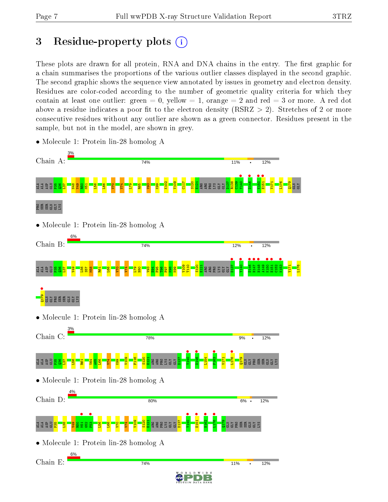GLY

L176

## 3 Residue-property plots  $(i)$

These plots are drawn for all protein, RNA and DNA chains in the entry. The first graphic for a chain summarises the proportions of the various outlier classes displayed in the second graphic. The second graphic shows the sequence view annotated by issues in geometry and electron density. Residues are color-coded according to the number of geometric quality criteria for which they contain at least one outlier: green  $= 0$ , yellow  $= 1$ , orange  $= 2$  and red  $= 3$  or more. A red dot above a residue indicates a poor fit to the electron density (RSRZ  $> 2$ ). Stretches of 2 or more consecutive residues without any outlier are shown as a green connector. Residues present in the sample, but not in the model, are shown in grey.



• Molecule 1: Protein lin-28 homolog A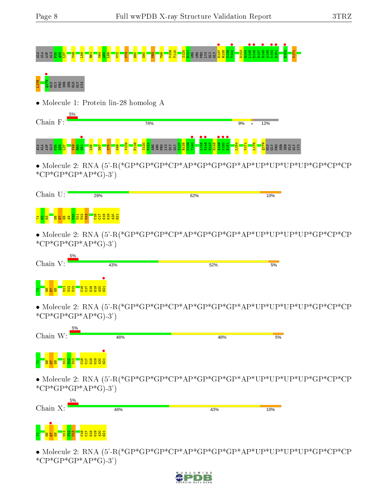# ALA <mark>ALA ASP GLU P35 Q36 Q70 V70 L66 P121 A65 L66 V109 C140 C140 C140 V70 V109 C140 V109 P1<br>Ala 20 E122 <del>E12 E12 E12 Gly Gly D137 e12 Gly D1</del>48 e121 <del>o</del>121 <del>e</del>131 G143 G145 e121 e121 9 H148 e121 • E149 K14</mark>



• Molecule 1: Protein lin-28 homolog A

| Chain<br>$F \cdot$ | 5% |                                                      |                |                             |                     |                                       |   |          |   |     |                         |         |            |         |                    |        |             |
|--------------------|----|------------------------------------------------------|----------------|-----------------------------|---------------------|---------------------------------------|---|----------|---|-----|-------------------------|---------|------------|---------|--------------------|--------|-------------|
|                    |    |                                                      |                |                             |                     | 78%                                   |   |          |   |     |                         |         | 9%         |         | 12%                |        |             |
| E A<br>E           | စာ | $\circ$<br>$\overline{\phantom{0}}$<br>io,<br>g<br>н | $\overline{4}$ | <b>e</b><br><b>eox</b><br>Ξ | $\frac{91}{2}$<br>Ε | $\overline{8}$<br>Ē<br>$\blacksquare$ | æ | <b>P</b> | Ŧ | . . | $\bullet\bullet\bullet$ | юI<br>耳 | <b>STR</b> | $\circ$ | <b>HEW</b><br>cits | 说<br>m | <b>SXTD</b> |

 $\bullet$  Molecule 2: RNA (5'-R(\*GP\*GP\*GP\*GP\*AP\*GP\*GP\*GP\*AP\*UP\*UP\*UP\*GP\*CP\*CP  $*CP*GP*AP*GP*AP*G$ -3')

| Chain U:                            | 29% | 62% | 10% |
|-------------------------------------|-----|-----|-----|
| $\frac{11}{22}$<br><u>     జి ఇ</u> |     |     |     |
| * $CP*GP*GP*AP*G$ -3')              |     |     |     |
| Chain V:                            | 43% |     |     |
|                                     |     | 52% | 5%  |
|                                     |     |     |     |
| * $CP*GP*GP*AP*G$ -3')              |     |     |     |
| 5%                                  |     |     |     |
| Chain W:                            | 48% | 48% | 5%  |
|                                     |     |     |     |
| * $CP*GP*GP*AP*G$ -3')              |     |     |     |
|                                     |     |     |     |



• Molecule 2: RNA (5'-R(\*GP\*GP\*GP\*CP\*AP\*GP\*GP\*GP\*AP\*UP\*UP\*UP\*UP\*GP\*CP\*CP  $*CP*GP*AP*GP*AP*G$ -3')

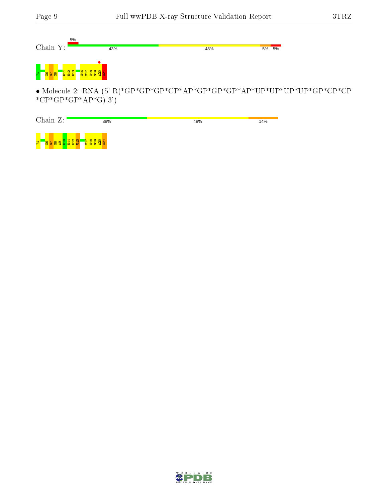

 $\bullet$  Molecule 2: RNA (5'-R(\*GP\*GP\*GP\*GP\*AP\*GP\*GP\*GP\*AP\*UP\*UP\*UP\*UP\*GP\*CP\*CP \* $CP*GP*GP*AP*G$ -3')

| Chain Z:                                                       | 38%                 | 48% | 14% |
|----------------------------------------------------------------|---------------------|-----|-----|
| <mark>ន្ទ្រ ដ្ឋ ដ្ឋ ដ្ឋ ន</mark> ្ទ<br>$\overline{\mathbf{r}}$ | <b>and a set of</b> |     |     |

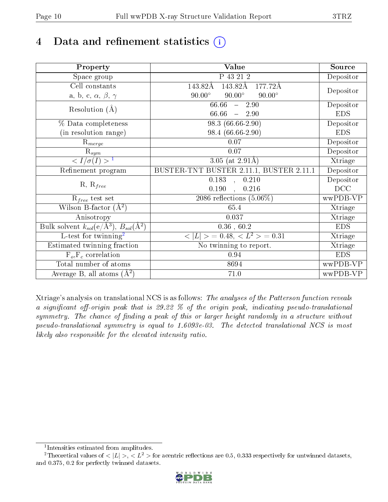## 4 Data and refinement statistics  $(i)$

| Property                                                         | Value                                           | Source     |
|------------------------------------------------------------------|-------------------------------------------------|------------|
| Space group                                                      | P 43 21 2                                       | Depositor  |
| Cell constants                                                   | 143.82Å<br>143.82Å<br>177.72Å                   |            |
| a, b, c, $\alpha$ , $\beta$ , $\gamma$                           | $90.00^\circ$<br>$90.00^\circ$<br>$90.00^\circ$ | Depositor  |
| Resolution $(A)$                                                 | 66.66<br>$-2.90$                                | Depositor  |
|                                                                  | 66.66<br>$-2.90$                                | <b>EDS</b> |
| % Data completeness                                              | 98.3 (66.66-2.90)                               | Depositor  |
| (in resolution range)                                            | 98.4 (66.66-2.90)                               | <b>EDS</b> |
| $R_{merge}$                                                      | 0.07                                            | Depositor  |
| $R_{sym}$                                                        | $0.07\,$                                        | Depositor  |
| $\sqrt{I/\sigma}(I) > 1$                                         | $\overline{3.05}$ (at 2.91Å)                    | Xtriage    |
| Refinement program                                               | BUSTER-TNT BUSTER 2.11.1, BUSTER 2.11.1         | Depositor  |
|                                                                  | 0.183<br>$\overline{0.210}$<br>$\mathbf{A}$     | Depositor  |
| $R, R_{free}$                                                    | 0.190<br>0.216                                  | DCC        |
| $R_{free}$ test set                                              | 2086 reflections $(5.06\%)$                     | wwPDB-VP   |
| Wilson B-factor $(A^2)$                                          | 65.4                                            | Xtriage    |
| Anisotropy                                                       | 0.037                                           | Xtriage    |
| Bulk solvent $k_{sol}(\text{e}/\text{A}^3), B_{sol}(\text{A}^2)$ | $0.36\,$ , $60.2\,$                             | <b>EDS</b> |
| L-test for twinning <sup>2</sup>                                 | $< L >$ = 0.48, $< L2 >$ = 0.31                 | Xtriage    |
| Estimated twinning fraction                                      | No twinning to report.                          | Xtriage    |
| $F_o, F_c$ correlation                                           | 0.94                                            | <b>EDS</b> |
| Total number of atoms                                            | 8694                                            | wwPDB-VP   |
| Average B, all atoms $(A^2)$                                     | 71.0                                            | wwPDB-VP   |

Xtriage's analysis on translational NCS is as follows: The analyses of the Patterson function reveals a significant off-origin peak that is 29.22  $\%$  of the origin peak, indicating pseudo-translational symmetry. The chance of finding a peak of this or larger height randomly in a structure without pseudo-translational symmetry is equal to 1.6093e-03. The detected translational NCS is most likely also responsible for the elevated intensity ratio.

<sup>&</sup>lt;sup>2</sup>Theoretical values of  $\langle |L| \rangle$ ,  $\langle L^2 \rangle$  for acentric reflections are 0.5, 0.333 respectively for untwinned datasets, and 0.375, 0.2 for perfectly twinned datasets.



<span id="page-9-1"></span><span id="page-9-0"></span><sup>1</sup> Intensities estimated from amplitudes.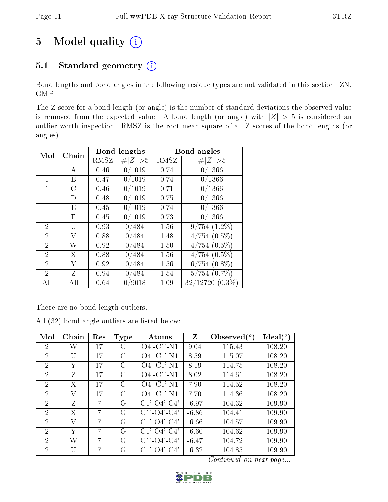## 5 Model quality  $(i)$

### 5.1 Standard geometry (i)

Bond lengths and bond angles in the following residue types are not validated in this section: ZN, GMP

The Z score for a bond length (or angle) is the number of standard deviations the observed value is removed from the expected value. A bond length (or angle) with  $|Z| > 5$  is considered an outlier worth inspection. RMSZ is the root-mean-square of all Z scores of the bond lengths (or angles).

| Mol            | Chain                     |      | Bond lengths |      | Bond angles       |
|----------------|---------------------------|------|--------------|------|-------------------|
|                |                           | RMSZ | Z   > 5      | RMSZ | # $ Z  > 5$       |
| 1              | А                         | 0.46 | 0/1019       | 0.74 | 0/1366            |
| 1              | B                         | 0.47 | 0/1019       | 0.74 | 0/1366            |
| $\mathbf{1}$   | C                         | 0.46 | 0/1019       | 0.71 | 0/1366            |
| 1              | D                         | 0.48 | 0/1019       | 0.75 | 0/1366            |
| $\mathbf{1}$   | E                         | 0.45 | 0/1019       | 0.74 | 0/1366            |
| 1              | $\boldsymbol{\mathrm{F}}$ | 0.45 | 0/1019       | 0.73 | 0/1366            |
| $\overline{2}$ | U                         | 0.93 | 0/484        | 1.56 | $9/754(1.2\%)$    |
| $\overline{2}$ | V                         | 0.88 | 0/484        | 1.48 | $4/754(0.5\%)$    |
| $\overline{2}$ | W                         | 0.92 | 0/484        | 1.50 | $4/754(0.5\%)$    |
| $\overline{2}$ | X                         | 0.88 | 0/484        | 1.56 | $4/754(0.5\%)$    |
| $\overline{2}$ | Y                         | 0.92 | 0/484        | 1.56 | $6/754$ $(0.8\%)$ |
| $\overline{2}$ | Z                         | 0.94 | 0/484        | 1.54 | $5/754$ $(0.7\%)$ |
| All            | All                       | 0.64 | 0/9018       | 1.09 | $32/12720(0.3\%)$ |

There are no bond length outliers.

|  |  | All (32) bond angle outliers are listed below: |  |  |
|--|--|------------------------------------------------|--|--|
|  |  |                                                |  |  |

| Mol                         | Chain | Res    | Type | Atoms                 | $\mathbf{Z}$ | Observed $(^\circ)$ | Ideal $(^\circ)$ |
|-----------------------------|-------|--------|------|-----------------------|--------------|---------------------|------------------|
| 2                           | W     | 17     | С    | $O4'$ -C1'-N1         | 9.04         | 115.43              | 108.20           |
| $\overline{2}$              | U     | 17     | C    | $O4'$ -C1'-N1         | 8.59         | 115.07              | 108.20           |
| $\overline{2}$              | Y     | 17     | C    | $O4'$ -C1'-N1         | 8.19         | 114.75              | 108.20           |
| $\overline{2}$              | Z     | 17     | C    | $O4'$ -C1'-N1         | 8.02         | 114.61              | 108.20           |
| $\overline{2}$              | X     | 17     | C    | $O4'$ -C1'-N1         | 7.90         | 114.52              | 108.20           |
| 2                           | V     | $17\,$ | C    | $O4'$ -C1'-N1         | 7.70         | 114.36              | 108.20           |
| $\overline{2}$              | Z     | 7      | G    | $C1'$ - $O4'$ - $C4'$ | $-6.97$      | 104.32              | 109.90           |
| $\overline{2}$              | Х     | 7      | G    | $C1'$ - $O4'$ - $C4'$ | $-6.86$      | 104.41              | 109.90           |
| $\mathcal{D}_{\mathcal{L}}$ | V     | 7      | G    | $C1'$ - $O4'$ - $C4'$ | $-6.66$      | 104.57              | 109.90           |
| $\overline{2}$              | Y     | 7      | G    | $C1'$ - $O4'$ - $C4'$ | $-6.60$      | 104.62              | 109.90           |
| $\overline{2}$              | W     | 7      | G    | $C1'$ - $O4'$ - $C4'$ | $-6.47$      | 104.72              | 109.90           |
| $\overline{2}$              | U     | 7      | G    | $C1'$ - $O4'$ - $C4'$ | $-6.32$      | 104.85              | 109.90           |

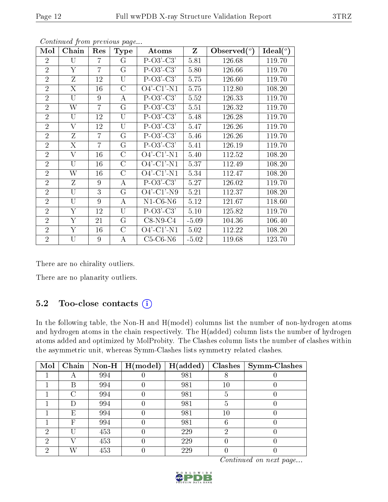| Mol            | Chain                   | Res            | Type           | Atoms                                                         | Z       | Observed $(°)$ | Ideal(°) |
|----------------|-------------------------|----------------|----------------|---------------------------------------------------------------|---------|----------------|----------|
| $\overline{2}$ | U                       | 7              | G              | $P-O3'-C3'$                                                   | 5.81    | 126.68         | 119.70   |
| $\overline{2}$ | Y                       | $\overline{7}$ | G              | $P-O3'-C3'$                                                   | 5.80    | 126.66         | 119.70   |
| $\overline{2}$ | Ζ                       | 12             | U              | $P-O3'-C3'$                                                   | 5.75    | 126.60         | 119.70   |
| $\overline{2}$ | X                       | 16             | $\overline{C}$ | $O4'$ -C1'-N1                                                 | 5.75    | 112.80         | 108.20   |
| $\overline{2}$ | U                       | 9              | А              | $P-O3'-C3'$                                                   | 5.52    | 126.33         | 119.70   |
| $\overline{2}$ | W                       | $\overline{7}$ | $\rm G$        | $P-O3'-C3'$                                                   | 5.51    | 126.32         | 119.70   |
| $\overline{2}$ | U                       | 12             | U              | $P-O3'-C3'$                                                   | 5.48    | 126.28         | 119.70   |
| $\overline{2}$ | $\rm V$                 | 12             | U              | $P-O3'-C3'$                                                   | 5.47    | 126.26         | 119.70   |
| $\overline{2}$ | Ζ                       | $\overline{7}$ | $\rm G$        | $P-O3'-C3'$                                                   | 5.46    | 126.26         | 119.70   |
| $\overline{2}$ | X                       | 7              | $\rm G$        | $P-O3'-C3'$                                                   | 5.41    | 126.19         | 119.70   |
| $\overline{2}$ | $\rm V$                 | 16             | $\rm C$        | $O4'$ -C1'-N1                                                 | 5.40    | 112.52         | 108.20   |
| $\overline{2}$ | U                       | 16             | $\mathcal{C}$  | $\overline{O}4$ <sup>2</sup> -C1 <sup>2</sup> -N <sub>1</sub> | 5.37    | 112.49         | 108.20   |
| $\overline{2}$ | W                       | 16             | $\mathcal{C}$  | $O4'$ -C1'-N1                                                 | 5.34    | 112.47         | 108.20   |
| $\overline{2}$ | Z                       | 9              | А              | $P-O3'-C3'$                                                   | 5.27    | 126.02         | 119.70   |
| $\overline{2}$ | U                       | 3              | G              | $O4'$ -C1'-N9                                                 | 5.21    | 112.37         | 108.20   |
| $\overline{2}$ | U                       | 9              | А              | $N1-C6-N6$                                                    | 5.12    | 121.67         | 118.60   |
| $\overline{2}$ | $\overline{\mathrm{Y}}$ | 12             | U              | $P-O3'-C3'$                                                   | 5.10    | 125.82         | 119.70   |
| $\overline{2}$ | Υ                       | 21             | $\rm G$        | $C8-N9-C4$                                                    | $-5.09$ | 104.36         | 106.40   |
| $\overline{2}$ | Y                       | 16             | $\mathcal{C}$  | $O4'$ -C1'-N1                                                 | 5.02    | 112.22         | 108.20   |
| $\overline{2}$ | U                       | 9              | А              | $C5-C6-N6$                                                    | $-5.02$ | 119.68         | 123.70   |

There are no chirality outliers.

There are no planarity outliers.

#### 5.2 Too-close contacts  $(i)$

In the following table, the Non-H and H(model) columns list the number of non-hydrogen atoms and hydrogen atoms in the chain respectively. The H(added) column lists the number of hydrogen atoms added and optimized by MolProbity. The Clashes column lists the number of clashes within the asymmetric unit, whereas Symm-Clashes lists symmetry related clashes.

| Mol |                          |     | Chain   Non-H   $H (model)$ | H(added) |        | $Clashes$   Symm-Clashes |
|-----|--------------------------|-----|-----------------------------|----------|--------|--------------------------|
|     | $\overline{\phantom{a}}$ | 994 |                             | 981      |        |                          |
|     | B                        | 994 |                             | 981      | $10\,$ |                          |
|     | C                        | 994 |                             | 981      | 5      |                          |
|     |                          | 994 |                             | 981      | 5      |                          |
|     | Е                        | 994 |                             | 981      | $10\,$ |                          |
|     | F                        | 994 |                             | 981      | 6      |                          |
| ച   |                          | 453 |                             | 229      | ച      |                          |
| 2   |                          | 453 |                             | 229      |        |                          |
| ٠,  |                          | 453 |                             | 229      |        |                          |

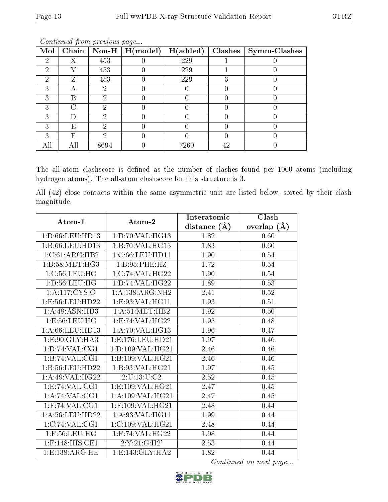| Mol | Chain |      | $\boxed{\text{Non-H} \mid \text{H}(\text{model})}$ | H(added) | Clashes | Symm-Clashes |
|-----|-------|------|----------------------------------------------------|----------|---------|--------------|
| 2   | Χ     | 453  |                                                    | 229      |         |              |
| ച   |       | 453  |                                                    | 229      |         |              |
| 2   | Z     | 453  |                                                    | 229      |         |              |
| ച   | А     | 2    |                                                    |          |         |              |
| 3   | В     | റ    |                                                    |          |         |              |
|     | 71    |      |                                                    |          |         |              |
|     |       | ച    |                                                    |          |         |              |
| 3   | E     | ച    |                                                    |          |         |              |
|     | F     |      |                                                    |          |         |              |
| All |       | 8694 |                                                    | 7260     | 42      |              |

The all-atom clashscore is defined as the number of clashes found per 1000 atoms (including hydrogen atoms). The all-atom clashscore for this structure is 3.

All (42) close contacts within the same asymmetric unit are listed below, sorted by their clash magnitude.

| Atom-1                                       | Atom-2                                   | Interatomic      | Clash         |
|----------------------------------------------|------------------------------------------|------------------|---------------|
|                                              |                                          | distance $(\AA)$ | overlap $(A)$ |
| 1: D: 66: LEU: HD13                          | 1: D: 70: VAL:HG13                       | 1.82             | 0.60          |
| 1:5:66:LEU:HD13                              | 1: B:70: VAL:HG13                        | 1.83             | 0.60          |
| 1:C:61:ARG:HB2                               | 1:C:66:LEU:HD11                          | 1.90             | 0.54          |
| 1:B:58:MET:HG3                               | 1: B:95:PHE:HZ                           | 1.72             | 0.54          |
| $1:C:56:\overline{\textrm{LEU}:\textrm{HG}}$ | 1:C:74:VAL:HG22                          | 1.90             | 0.54          |
| 1: D: 56: LEU: HG                            | 1: D: 74: VAL:HG22                       | 1.89             | 0.53          |
| 1: A:117: CYS:O                              | 1:A:138:ARG:NH2                          | 2.41             | 0.52          |
| 1:E:56:LEU:HD22                              | 1:E:93:VAL:HG11                          | 1.93             | $0.51\,$      |
| 1:A:48:ASN:HB3                               | 1: A:51: MET:HB2                         | 1.92             | $0.50\,$      |
| 1:E:56:LEU:HG                                | 1:E:74:VAL:HG22                          | 1.95             | 0.48          |
| 1: A:66:LEU:HD13                             | 1:A:70:VAL:HG13                          | 1.96             | 0.47          |
| 1: E: 90: GLY: HA3                           | 1:E:176:EU:HD21                          | 1.97             | 0.46          |
| 1: D: 74: VAL: CG1                           | 1: D: 109: VAL:HG21                      | 2.46             | 0.46          |
| 1:B:74:VAL:CG1                               | 1:B:109:VAL:HG21                         | 2.46             | 0.46          |
| 1:B:56:LEU:HD22                              | 1:B:93:VAL:HG21                          | 1.97             | 0.45          |
| 1: A:49: VAL:HG22                            | 2:U:13:U:C2                              | 2.52             | 0.45          |
| 1: E: 74: VAL: CG1                           | 1: E: 109: VAL: HG21                     | 2.47             | 0.45          |
| 1:A:74:VAL:CG1                               | 1:A:109:VAL:HG21                         | 2.47             | 0.45          |
| $1:$ F:74:VAL:CG1                            | $1:$ F:109:VAL:HG21                      | 2.48             | 0.44          |
| 1: A:56: LEU: HD22                           | 1: A:93: VAL: HG11                       | 1.99             | 0.44          |
| 1:C:74:VAL:CG1                               | 1:C:109:VAL:HG21                         | 2.48             | 0.44          |
| $1:$ F:56:LEU:HG                             | $1:$ F:74: $\overline{\text{VAL}}:$ HG22 | 1.98             | 0.44          |
| $1:$ F:148:HIS:CE1                           | 2:Y:21:GH2'                              | 2.53             | 0.44          |
| 1: E: 138: ARG: HE                           | 1: E: 143: GLY: HA2                      | 1.82             | 0.44          |

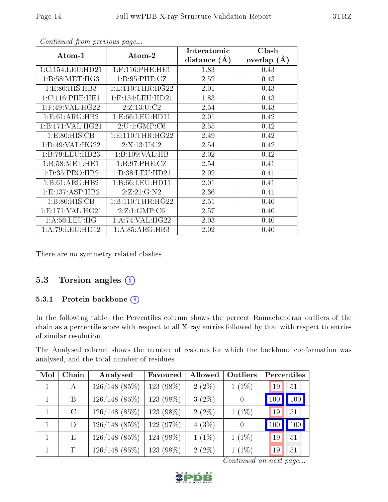|                       |                      | Interatomic      | Clash           |
|-----------------------|----------------------|------------------|-----------------|
| Atom-1                | Atom-2               | distance $(\AA)$ | overlap $(\AA)$ |
| 1:C:154:LEU:HD21      | $1:$ F:116:PHE:HE1   | 1.83             | 0.43            |
| 1: B:58: MET:HG3      | 1: B:95:PHE: CZ      | 2.52             | 0.43            |
| 1: E: 80: HIS: HB3    | 1: E: 110: THR: HG22 | 2.01             | 0.43            |
| 1:C:116:PHE:HE1       | $1:$ F:154:LEU:HD21  | 1.83             | 0.43            |
| $1:$ F:49:VAL:H $G22$ | 2:Z:13:U:C2          | 2.54             | 0.43            |
| 1:E:61:ARG:HB2        | 1: E:66:LEU:HD11     | 2.01             | 0.42            |
| 1:B:171:VAL:HG21      | 2:U:1:GMP:C6         | 2.55             | 0.42            |
| 1: E:80: HIS: CB      | 1: E: 110: THR: HG22 | 2.49             | 0.42            |
| 1: D:49: VAL:HG22     | 2:X:13:U:C2          | 2.54             | 0.42            |
| 1:B:79:LEU:HD23       | 1:B:109:VAL:HB       | 2.02             | 0.42            |
| 1:B:58:MET:HE1        | 1: B:97: PHE: CZ     | 2.54             | 0.41            |
| 1: D: 35: PRO: HB2    | 1: D: 38: LEU: HD21  | 2.02             | 0.41            |
| 1:B:61:ARG:HB2        | 1:B:66:LEU:HD11      | 2.01             | 0.41            |
| 1: E: 137: ASP: HB2   | 2:Z:21:G:N2          | 2.36             | 0.41            |
| 1:B:80:HIS:CB         | 1:B:110:THR:HG22     | 2.51             | 0.40            |
| 1: E: 171: VAL: HG21  | 2:Z:1:GMP:C6         | 2.57             | 0.40            |
| 1: A:56:LEU:HG        | 1: A:74: VAL:HG22    | 2.03             | 0.40            |
| 1: A:79: LEU: HD12    | 1: A:85: ARG:HB3     | 2.02             | 0.40            |

There are no symmetry-related clashes.

#### 5.3 Torsion angles  $(i)$

#### 5.3.1 Protein backbone (i)

In the following table, the Percentiles column shows the percent Ramachandran outliers of the chain as a percentile score with respect to all X-ray entries followed by that with respect to entries of similar resolution.

The Analysed column shows the number of residues for which the backbone conformation was analysed, and the total number of residues.

| Mol | Chain         | Analysed        | Favoured    | Allowed  | Outliers         |     | Percentiles |
|-----|---------------|-----------------|-------------|----------|------------------|-----|-------------|
|     | А             | $126/148$ (85%) | 123 (98%)   | $2(2\%)$ | $1(1\%)$         | 19  | 51          |
| 1   | B             | $126/148$ (85%) | 123 (98%)   | $3(2\%)$ | $\boldsymbol{0}$ |     | 100         |
|     | $\mathcal{C}$ | $126/148$ (85%) | 123 (98%)   | $2(2\%)$ | $1(1\%)$         | 19  | 51          |
|     | D             | $126/148$ (85%) | 122(97%)    | $4(3\%)$ | $\theta$         | 100 | 100         |
| 1   | E             | $126/148$ (85%) | 124 (98%)   | $1(1\%)$ | $1(1\%)$         | 19  | 51          |
|     | $\mathbf{F}$  | $126/148(85\%)$ | $123(98\%)$ | $2(2\%)$ | $1(1\%)$         | 19  | 51          |

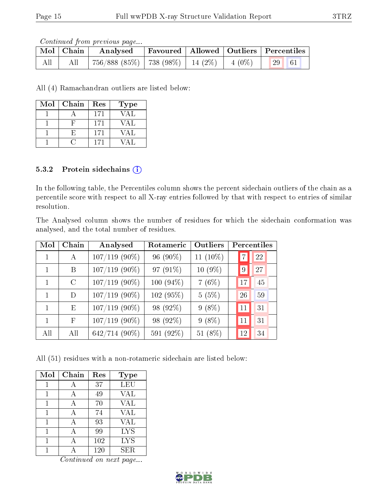Continued from previous page...

|     | Mol   Chain | Analysed                                           |  | Favoured   Allowed   Outliers   Percentiles |
|-----|-------------|----------------------------------------------------|--|---------------------------------------------|
| All | All         | $756/888$ (85\%)   738 (98\%)   14 (2\%)   4 (0\%) |  | 29 61                                       |

All (4) Ramachandran outliers are listed below:

| Mol | Chain | Res | <b>Type</b> |
|-----|-------|-----|-------------|
|     |       | 171 | VAL         |
|     |       | 171 | VAL         |
|     | Н,    | 171 | VAL         |
|     |       | 171 |             |

#### 5.3.2 Protein sidechains (i)

In the following table, the Percentiles column shows the percent sidechain outliers of the chain as a percentile score with respect to all X-ray entries followed by that with respect to entries of similar resolution.

The Analysed column shows the number of residues for which the sidechain conformation was analysed, and the total number of residues.

| Mol          | Chain         | Analysed        | Rotameric   | Outliers  | Percentiles |
|--------------|---------------|-----------------|-------------|-----------|-------------|
|              | A             | $107/119$ (90%) | 96 (90%)    | 11 (10%)  | 22          |
|              | B             | $107/119$ (90%) | 97 (91%)    | $10(9\%)$ | 27<br>9     |
| 1            | $\mathcal{C}$ | $107/119$ (90%) | $100(94\%)$ | 7(6%)     | 45<br>17    |
| 1            | D             | $107/119$ (90%) | 102 (95%)   | 5(5%)     | 59<br>26    |
| $\mathbf{1}$ | Ε             | $107/119$ (90%) | 98 (92%)    | $9(8\%)$  | 31<br>11    |
| 1            | F             | $107/119$ (90%) | 98 (92%)    | $9(8\%)$  | 31<br>11    |
| All          | All           | 642/714 (90%)   | 591 (92%)   | 51 (8%)   | 34<br>12    |

All (51) residues with a non-rotameric sidechain are listed below:

| Mol | Chain | Res | <b>Type</b> |
|-----|-------|-----|-------------|
|     | А     | 37  | <b>LEU</b>  |
| 1   | А     | 49  | <b>VAL</b>  |
|     | А     | 70  | <b>VAL</b>  |
|     | А     | 74  | <b>VAL</b>  |
|     | А     | 93  | <b>VAL</b>  |
| 1   | А     | 99  | <b>LYS</b>  |
|     |       | 102 | <b>LYS</b>  |
|     |       | 120 | <b>SER</b>  |

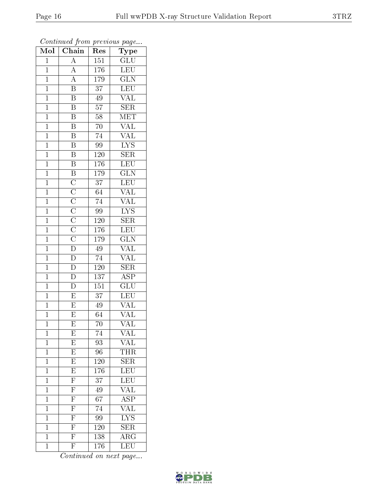| $\overline{\text{Mol}}$ | $\cdots$ $\cdots$<br>$\overline{\text{Chain}}$                                                                                                        | r -<br>Res       | $\mathbf{r}$ - $\mathbf{v}$<br>Type        |
|-------------------------|-------------------------------------------------------------------------------------------------------------------------------------------------------|------------------|--------------------------------------------|
| $\mathbf 1$             | $\overline{A}$                                                                                                                                        | 151              | GLU                                        |
| $\mathbf{1}$            | $\frac{\overline{A}}{\overline{A}}$                                                                                                                   | 176              | <b>LEU</b>                                 |
| $\overline{1}$          |                                                                                                                                                       | 179              | $\overline{\text{GLN}}$                    |
| $\mathbf{1}$            | $\overline{\mathrm{B}}$                                                                                                                               | $\overline{37}$  | $\overline{\text{LEU}}$                    |
| $\overline{1}$          | $\overline{\mathbf{B}}$                                                                                                                               | 49               | $\frac{\overline{\text{VAL}}}{\text{SER}}$ |
| $\overline{1}$          | $\overline{\mathrm{B}}$                                                                                                                               | 57               |                                            |
| $\overline{1}$          | $\overline{B}$                                                                                                                                        | 58               | $\overline{\text{MET}}$                    |
| $\mathbf{1}$            | $\overline{\mathrm{B}}$                                                                                                                               | 70               | $\overline{\text{VAL}}$                    |
| $\overline{1}$          | $\overline{B}$                                                                                                                                        | $\overline{74}$  | $\overline{\text{VAL}}$                    |
| $\mathbf{1}$            | $\overline{\mathbf{B}}$                                                                                                                               | 99               | $\overline{\text{LYS}}$                    |
| $\mathbf{1}$            | $\overline{\mathbf{B}}$                                                                                                                               | $120\,$          | SER                                        |
| $\overline{1}$          | $\overline{B}$                                                                                                                                        | 176              | $\overline{\text{LEU}}$                    |
| $\overline{1}$          |                                                                                                                                                       | 179              | $\overline{\text{GLN}}$                    |
| $\overline{1}$          |                                                                                                                                                       | $\overline{37}$  | LEU                                        |
| $\overline{1}$          | $\overline{B}$ $\overline{C}$ $\overline{C}$ $\overline{C}$ $\overline{C}$ $\overline{C}$ $\overline{C}$ $\overline{C}$ $\overline{D}$ $\overline{D}$ | 64               | $\overline{\text{VAL}}$                    |
| $\mathbf{1}$            |                                                                                                                                                       | $74\,$           | $\overline{\text{VAL}}$                    |
| $\mathbf{1}$            |                                                                                                                                                       | 99               | $\overline{\text{LYS}}$                    |
| $\overline{1}$          |                                                                                                                                                       | $120\,$          | $\overline{\text{SER}}$                    |
| $\overline{1}$          |                                                                                                                                                       | 176              | LEU                                        |
| $\overline{1}$          |                                                                                                                                                       | 179              | GLN                                        |
| $\mathbf{1}$            |                                                                                                                                                       | 49               | <b>VAL</b>                                 |
| $\overline{1}$          |                                                                                                                                                       | $\overline{74}$  | VAL                                        |
| $\mathbf{1}$            | $\mathbf{D}$                                                                                                                                          | 120              | $\overline{\text{SER}}$                    |
| $\overline{1}$          | $\overline{\rm D}$                                                                                                                                    | $\overline{137}$ | $\overline{\rm ASP}$                       |
| $\overline{1}$          | $\overline{\rm D}$                                                                                                                                    | 151              | $\overline{\text{GLU}}$                    |
| $\overline{1}$          | $\overline{E}$                                                                                                                                        | 37               | $\overline{\text{LEU}}$                    |
| $\mathbf{1}$            | $\overline{E}$                                                                                                                                        | 49               | $\overline{\text{VAL}}$                    |
| $\overline{1}$          | $\overline{E}$                                                                                                                                        | $\overline{64}$  | $\overline{\text{VAL}}$                    |
| $\overline{1}$          | $\overline{E}$                                                                                                                                        | $\overline{70}$  | VAL                                        |
| $\mathbf 1$             | E                                                                                                                                                     | 74               | VAL                                        |
| $\mathbf{1}$            | $\overline{\mathrm{E}}$                                                                                                                               | 93               | VAL                                        |
| $\overline{1}$          | $\overline{E}$                                                                                                                                        | 96               | <b>THR</b>                                 |
| $\mathbf{1}$            | $\overline{E}$                                                                                                                                        | 120              | $\textrm{SER}$                             |
| $\overline{1}$          | $\overline{\mathrm{E}}$                                                                                                                               | <sup>176</sup>   | $\overline{\text{LEU}}$                    |
| $\mathbf{1}$            | $\overline{F}$                                                                                                                                        | 37               | LEU                                        |
| $\mathbf 1$             | $\frac{\overline{\text{F}}}{\text{F}}$                                                                                                                | 49               | $\overline{\text{VAL}}$                    |
| $\mathbf 1$             |                                                                                                                                                       | 67               | $\overline{\text{ASP}}$                    |
| $\overline{1}$          | $\overline{\mathrm{F}}$                                                                                                                               | 74               | $\overline{\text{VAL}}$                    |
| $\mathbf{1}$            | $\frac{\overline{F}}{\overline{F}}$                                                                                                                   | 99               | $\overline{\text{LYS}}$                    |
| $\mathbf{1}$            |                                                                                                                                                       | $1\,20$          | $\overline{\text{SER}}$                    |
| $\mathbf 1$             |                                                                                                                                                       | 138              | $\overline{\rm{ARG}}$                      |
| $\mathbf{1}$            | $\overline{\mathrm{F}}$                                                                                                                               | 176              | LEU                                        |

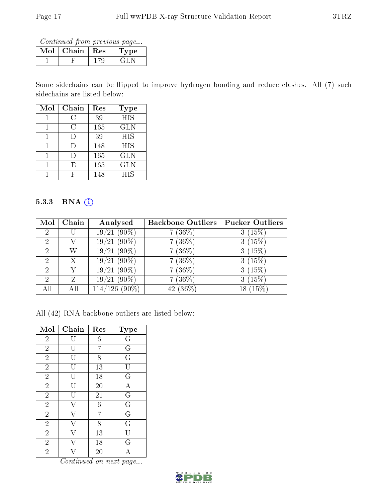Continued from previous page...

| Mol | Chain | $\perp$ Res | Type |
|-----|-------|-------------|------|
|     |       |             |      |

Some sidechains can be flipped to improve hydrogen bonding and reduce clashes. All (7) such sidechains are listed below:

| Mol | Chain  | Res | <b>Type</b> |
|-----|--------|-----|-------------|
|     | С.     | 39  | <b>HIS</b>  |
|     | C      | 165 | GLN         |
|     | $\Box$ | 39  | HIS         |
|     | I)     | 148 | HIS         |
|     | Ð      | 165 | GLN         |
|     | F,     | 165 | <b>GLN</b>  |
|     |        | 148 | HIS         |

#### 5.3.3 RNA (i)

| Mol            | Chain        | Analysed            | <b>Backbone Outliers</b> | <b>Pucker Outliers</b> |
|----------------|--------------|---------------------|--------------------------|------------------------|
| $\overline{2}$ |              | $(90\%)$<br>19/21   | $(36\%)$                 | (15%)                  |
| $\mathcal{P}$  |              | $(90\%)$<br>19/21   | $(36\%)$                 | 3(15%)                 |
| 2              | W            | $(90\%)$<br>19/21   | $(36\%)$                 | 3(15%)                 |
| 2              | $\mathbf{X}$ | $(90\%)$<br>19/21   | $(36\%)$                 | 3(15%)                 |
| 2              |              | $(90\%)$<br>19/21   | $(36\%)$                 | 3(15%)                 |
| 2              | 7.           | $(90\%)$<br>19/21   | $(36\%)$                 | (15%)                  |
| All            | ΑH           | $(90\%)$<br>114/126 | $(36\%)$<br>42           | (15%<br>18             |

All (42) RNA backbone outliers are listed below:

| Mol            | Chain | Res | <b>Type</b>             |
|----------------|-------|-----|-------------------------|
| $\overline{2}$ |       | 6   | $\mathbf G$             |
| $\overline{2}$ | U     | 7   | $\overline{\mathrm{G}}$ |
| $\overline{2}$ | U     | 8   | $\overline{\mathrm{G}}$ |
| $\overline{2}$ | IJ    | 13  | ΤJ                      |
| $\overline{2}$ |       | 18  | G                       |
| $\overline{2}$ | U     | 20  | $\mathbf{A}$            |
| $\overline{2}$ | U     | 21  | $\overline{\mathrm{G}}$ |
| $\overline{2}$ |       | 6   | $\overline{\mathrm{G}}$ |
| $\overline{2}$ |       | 7   | $\overline{G}$          |
| $\overline{2}$ |       | 8   | $\overline{\mathrm{G}}$ |
| $\overline{2}$ |       | 13  | Ū                       |
| $\overline{2}$ |       | 18  | $\overline{G}$          |
| $\overline{2}$ |       | 20  | А                       |

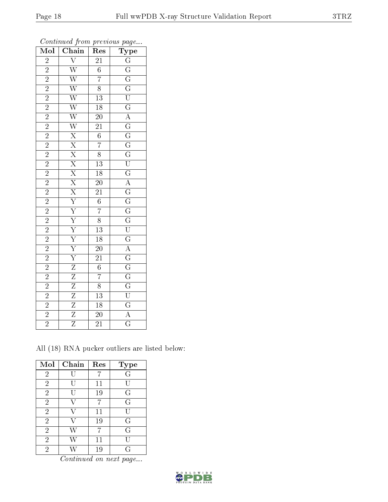| $\overline{\text{Mol}}$                                                                                                                                                                                              | Chain                                                                                                                                                                                                                                                                                                                                  | Res                                                                                                                               |                                                                                                                                                                                                                                                                                                                                                                                                                                                                                    |
|----------------------------------------------------------------------------------------------------------------------------------------------------------------------------------------------------------------------|----------------------------------------------------------------------------------------------------------------------------------------------------------------------------------------------------------------------------------------------------------------------------------------------------------------------------------------|-----------------------------------------------------------------------------------------------------------------------------------|------------------------------------------------------------------------------------------------------------------------------------------------------------------------------------------------------------------------------------------------------------------------------------------------------------------------------------------------------------------------------------------------------------------------------------------------------------------------------------|
|                                                                                                                                                                                                                      |                                                                                                                                                                                                                                                                                                                                        | $\overline{21}$                                                                                                                   |                                                                                                                                                                                                                                                                                                                                                                                                                                                                                    |
|                                                                                                                                                                                                                      |                                                                                                                                                                                                                                                                                                                                        | $\overline{6}$                                                                                                                    |                                                                                                                                                                                                                                                                                                                                                                                                                                                                                    |
|                                                                                                                                                                                                                      |                                                                                                                                                                                                                                                                                                                                        | $\overline{7}$                                                                                                                    |                                                                                                                                                                                                                                                                                                                                                                                                                                                                                    |
|                                                                                                                                                                                                                      |                                                                                                                                                                                                                                                                                                                                        | $\overline{8}$                                                                                                                    |                                                                                                                                                                                                                                                                                                                                                                                                                                                                                    |
|                                                                                                                                                                                                                      |                                                                                                                                                                                                                                                                                                                                        | $\begin{array}{r}\n\overline{13} \\ \overline{18} \\ \overline{20} \\ \overline{21} \\ \overline{6} \\ \overline{7}\n\end{array}$ |                                                                                                                                                                                                                                                                                                                                                                                                                                                                                    |
|                                                                                                                                                                                                                      |                                                                                                                                                                                                                                                                                                                                        |                                                                                                                                   |                                                                                                                                                                                                                                                                                                                                                                                                                                                                                    |
|                                                                                                                                                                                                                      |                                                                                                                                                                                                                                                                                                                                        |                                                                                                                                   |                                                                                                                                                                                                                                                                                                                                                                                                                                                                                    |
|                                                                                                                                                                                                                      |                                                                                                                                                                                                                                                                                                                                        |                                                                                                                                   |                                                                                                                                                                                                                                                                                                                                                                                                                                                                                    |
|                                                                                                                                                                                                                      |                                                                                                                                                                                                                                                                                                                                        |                                                                                                                                   |                                                                                                                                                                                                                                                                                                                                                                                                                                                                                    |
|                                                                                                                                                                                                                      |                                                                                                                                                                                                                                                                                                                                        |                                                                                                                                   |                                                                                                                                                                                                                                                                                                                                                                                                                                                                                    |
|                                                                                                                                                                                                                      |                                                                                                                                                                                                                                                                                                                                        |                                                                                                                                   |                                                                                                                                                                                                                                                                                                                                                                                                                                                                                    |
|                                                                                                                                                                                                                      |                                                                                                                                                                                                                                                                                                                                        | $\frac{8}{13}$ $\frac{18}{20}$ $\frac{20}{21}$                                                                                    |                                                                                                                                                                                                                                                                                                                                                                                                                                                                                    |
|                                                                                                                                                                                                                      |                                                                                                                                                                                                                                                                                                                                        |                                                                                                                                   |                                                                                                                                                                                                                                                                                                                                                                                                                                                                                    |
|                                                                                                                                                                                                                      |                                                                                                                                                                                                                                                                                                                                        |                                                                                                                                   |                                                                                                                                                                                                                                                                                                                                                                                                                                                                                    |
|                                                                                                                                                                                                                      |                                                                                                                                                                                                                                                                                                                                        |                                                                                                                                   |                                                                                                                                                                                                                                                                                                                                                                                                                                                                                    |
|                                                                                                                                                                                                                      |                                                                                                                                                                                                                                                                                                                                        | $\frac{6}{7}$                                                                                                                     |                                                                                                                                                                                                                                                                                                                                                                                                                                                                                    |
|                                                                                                                                                                                                                      |                                                                                                                                                                                                                                                                                                                                        |                                                                                                                                   |                                                                                                                                                                                                                                                                                                                                                                                                                                                                                    |
|                                                                                                                                                                                                                      |                                                                                                                                                                                                                                                                                                                                        |                                                                                                                                   |                                                                                                                                                                                                                                                                                                                                                                                                                                                                                    |
|                                                                                                                                                                                                                      |                                                                                                                                                                                                                                                                                                                                        |                                                                                                                                   |                                                                                                                                                                                                                                                                                                                                                                                                                                                                                    |
|                                                                                                                                                                                                                      |                                                                                                                                                                                                                                                                                                                                        | $\frac{8}{13}$ $\frac{13}{18}$                                                                                                    |                                                                                                                                                                                                                                                                                                                                                                                                                                                                                    |
| $\begin{array}{c c} 2 & 2 & 2 \\ \hline 2 & 2 & 2 \\ \hline 2 & 2 & 2 \\ \hline 2 & 2 & 2 \\ \hline 2 & 2 & 2 \\ \hline 2 & 2 & 2 \\ \hline 2 & 2 & 2 \\ \hline 2 & 2 & 2 \\ \hline 2 & 2 & 2 \\ \hline \end{array}$ | $\overline{W} \overline{W} \overline{W} \overline{W} \overline{W} \overline{X} \overline{X} \overline{X} \overline{X} \overline{X} \overline{X} \overline{Y} \overline{Y} \overline{Y} \overline{Y} \overline{Y} \overline{Y} \overline{Z} \overline{Z} \overline{Z} \overline{Z} \overline{Z} \overline{Z} \overline{Z} \overline{Z}$ |                                                                                                                                   | $\begin{array}{c c} \textbf{Type} \\ \hline \textbf{G} \\ \hline \textbf{G} \\ \hline \textbf{G} \\ \hline \textbf{G} \\ \hline \textbf{G} \\ \hline \textbf{G} \\ \hline \textbf{G} \\ \hline \textbf{G} \\ \hline \textbf{G} \\ \hline \textbf{G} \\ \hline \textbf{G} \\ \hline \textbf{G} \\ \hline \textbf{G} \\ \hline \textbf{G} \\ \hline \textbf{G} \\ \hline \textbf{G} \\ \hline \textbf{G} \\ \hline \textbf{G} \\ \hline \textbf{G} \\ \hline \textbf{G} \\ \hline \$ |
|                                                                                                                                                                                                                      |                                                                                                                                                                                                                                                                                                                                        |                                                                                                                                   |                                                                                                                                                                                                                                                                                                                                                                                                                                                                                    |
|                                                                                                                                                                                                                      |                                                                                                                                                                                                                                                                                                                                        | $\frac{21}{6}$                                                                                                                    |                                                                                                                                                                                                                                                                                                                                                                                                                                                                                    |
|                                                                                                                                                                                                                      |                                                                                                                                                                                                                                                                                                                                        | $\overline{7}$                                                                                                                    |                                                                                                                                                                                                                                                                                                                                                                                                                                                                                    |
|                                                                                                                                                                                                                      |                                                                                                                                                                                                                                                                                                                                        | $\frac{8}{13}$ $\frac{13}{18}$                                                                                                    |                                                                                                                                                                                                                                                                                                                                                                                                                                                                                    |
|                                                                                                                                                                                                                      |                                                                                                                                                                                                                                                                                                                                        |                                                                                                                                   |                                                                                                                                                                                                                                                                                                                                                                                                                                                                                    |
|                                                                                                                                                                                                                      |                                                                                                                                                                                                                                                                                                                                        |                                                                                                                                   |                                                                                                                                                                                                                                                                                                                                                                                                                                                                                    |
| $\frac{\sqrt{2}}{2}$                                                                                                                                                                                                 |                                                                                                                                                                                                                                                                                                                                        | $\overline{20}$                                                                                                                   |                                                                                                                                                                                                                                                                                                                                                                                                                                                                                    |
|                                                                                                                                                                                                                      |                                                                                                                                                                                                                                                                                                                                        | $\overline{21}$                                                                                                                   |                                                                                                                                                                                                                                                                                                                                                                                                                                                                                    |

Continued from previous page...

All (18) RNA pucker outliers are listed below:

| Mol            | Chain | Res    | <b>Type</b> |
|----------------|-------|--------|-------------|
| $\sqrt{2}$     |       |        | G           |
| $\overline{2}$ | U     | 11     | U           |
| $\overline{2}$ |       | 19     | G           |
| $\overline{2}$ | V     | 7      | G           |
| $\overline{2}$ |       | 11     | U           |
| $\overline{2}$ |       | 19     | G           |
| $\overline{2}$ | W     | 7      | G           |
| $\overline{2}$ |       | $11\,$ |             |
| $\overline{2}$ |       | 19     | G           |

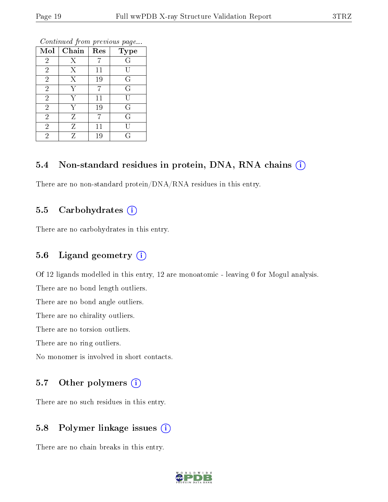| Mol            | Chain | Res | <b>Type</b>    |
|----------------|-------|-----|----------------|
| $\overline{2}$ | Χ     |     | G              |
| $\overline{2}$ | X     | 11  | U              |
| $\overline{2}$ | X     | 19  | G              |
| $\overline{2}$ | Y     | 7   | $\overline{G}$ |
| $\overline{2}$ | Y     | 11  |                |
| $\overline{2}$ | Y     | 19  | G              |
| $\overline{2}$ | Ζ     |     | $\overline{G}$ |
| $\overline{2}$ | Ζ     | 11  |                |
| $\overline{2}$ | Z     | 19  | G              |

#### 5.4 Non-standard residues in protein, DNA, RNA chains  $(i)$

There are no non-standard protein/DNA/RNA residues in this entry.

#### 5.5 Carbohydrates (i)

There are no carbohydrates in this entry.

#### 5.6 Ligand geometry (i)

Of 12 ligands modelled in this entry, 12 are monoatomic - leaving 0 for Mogul analysis.

There are no bond length outliers.

There are no bond angle outliers.

There are no chirality outliers.

There are no torsion outliers.

There are no ring outliers.

No monomer is involved in short contacts.

#### 5.7 [O](https://www.wwpdb.org/validation/2017/XrayValidationReportHelp#nonstandard_residues_and_ligands)ther polymers  $(i)$

There are no such residues in this entry.

#### 5.8 Polymer linkage issues  $(i)$

There are no chain breaks in this entry.

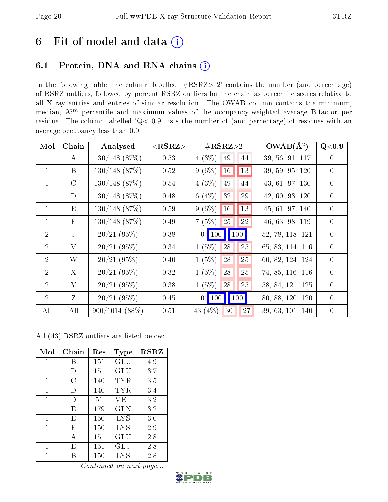## 6 Fit of model and data  $(i)$

### 6.1 Protein, DNA and RNA chains  $(i)$

In the following table, the column labelled  $#RSRZ> 2'$  contains the number (and percentage) of RSRZ outliers, followed by percent RSRZ outliers for the chain as percentile scores relative to all X-ray entries and entries of similar resolution. The OWAB column contains the minimum, median,  $95<sup>th</sup>$  percentile and maximum values of the occupancy-weighted average B-factor per residue. The column labelled ' $Q< 0.9$ ' lists the number of (and percentage) of residues with an average occupancy less than 0.9.

| Mol            | Chain         | Analysed         | $<$ RSRZ $>$ | $\#\text{RSRZ}{>}2$                                           | $OWAB(A^2)$      | Q<0.9          |
|----------------|---------------|------------------|--------------|---------------------------------------------------------------|------------------|----------------|
| $\mathbf 1$    | $\bf{A}$      | $130/148$ (87%)  | 0.53         | 4(3%)<br>49<br>44                                             | 39, 56, 91, 117  | $\overline{0}$ |
| $\mathbf 1$    | B             | $130/148$ (87\%) | 0.52         | 13<br>16<br>$9(6\%)$                                          | 39, 59, 95, 120  | $\theta$       |
| $\mathbf 1$    | $\mathcal{C}$ | $130/148$ (87%)  | 0.54         | 4(3%)<br>49<br>44                                             | 43, 61, 97, 130  | $\overline{0}$ |
| $\mathbf 1$    | D             | $130/148$ (87\%) | 0.48         | 6 $(4%)$<br>32<br>29                                          | 42, 60, 93, 120  | $\overline{0}$ |
| $\mathbf{1}$   | E             | $130/148$ (87\%) | 0.59         | 13<br>$16\,$<br>$9(6\%)$                                      | 45, 61, 97, 140  | $\theta$       |
| $\mathbf{1}$   | $\mathbf{F}$  | $130/148$ (87\%) | 0.49         | 7(5%)<br>25<br>22                                             | 46, 63, 98, 119  | $\overline{0}$ |
| $\overline{2}$ | $\mathbf{U}$  | 20/21(95%)       | 0.38         | $\vert$ 100 $\vert$<br>$0$   100                              | 52, 78, 118, 121 | $\overline{0}$ |
| 2              | V             | 20/21(95%)       | 0.34         | $1(5\%)$<br>25<br>28                                          | 65, 83, 114, 116 | $\theta$       |
| $\overline{2}$ | W             | 20/21(95%)       | 0.40         | 25<br>1(5%)<br>28                                             | 60, 82, 124, 124 | $\theta$       |
| $\overline{2}$ | X             | 20/21(95%)       | 0.32         | $1(5\%)$<br>28<br>25                                          | 74, 85, 116, 116 | $\overline{0}$ |
| $\overline{2}$ | Y             | 20/21(95%)       | 0.38         | $1(5\%)$<br>$28\,$<br>25                                      | 58, 84, 121, 125 | $\overline{0}$ |
| $\overline{2}$ | Z             | 20/21(95%)       | 0.45         | $\vert$ 100 $\vert$<br>$\vert$ 100 $\vert$<br>$\vert 0 \vert$ | 80, 88, 120, 120 | $\overline{0}$ |
| All            | All           | $900/1014(88\%)$ | 0.51         | 43 $(4%)$<br>30<br>27                                         | 39, 63, 101, 140 | $\overline{0}$ |

All (43) RSRZ outliers are listed below:

| Mol | Chain  | Res | <b>Type</b>          | $_{\rm RSRZ}$ |
|-----|--------|-----|----------------------|---------------|
| 1   | В      | 151 | GLU                  | 4.9           |
| 1   | $\Box$ | 151 | GLU                  | 3.7           |
| 1   | C      | 140 | TYR                  | 3.5           |
| 1   | Ð      | 140 | TYR                  | 3.4           |
| 1   | $\Box$ | 51  | MET                  | 3.2           |
| 1   | E      | 179 | <b>GLN</b>           | 3.2           |
| 1   | E      | 150 | <b>LYS</b>           | 3.0           |
| 1   | F      | 150 | <b>LYS</b>           | 2.9           |
| 1   | А      | 151 | $\operatorname{GLU}$ | 2.8           |
| 1   | E      | 151 | GLU                  | 2.8           |
| 1   | R      | 150 | <b>LYS</b>           | 2.8           |

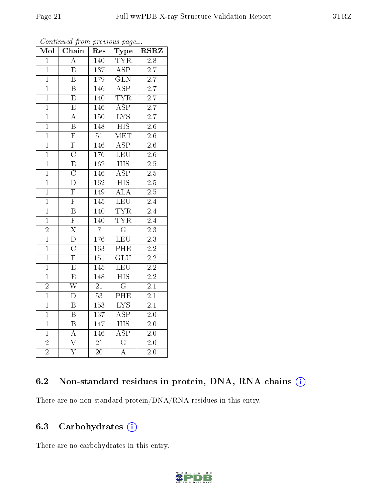| Mol            | Chain                   | Res               | Type                      | <b>RSRZ</b>      |  |
|----------------|-------------------------|-------------------|---------------------------|------------------|--|
| $\overline{1}$ | $\overline{A}$          | <b>TYR</b><br>140 |                           | 2.8              |  |
| $\mathbf{1}$   | $\overline{\mathrm{E}}$ | 137               | $\overline{\text{ASP}}$   | $\overline{2.7}$ |  |
| $\mathbf{1}$   | $\overline{\mathrm{B}}$ | 179               | $\overline{\text{GLN}}$   | $\overline{2.7}$ |  |
| $\overline{1}$ | B                       | 146               | $\overline{\text{ASP}}$   | $\overline{2.7}$ |  |
| $\overline{1}$ | $\overline{\mathrm{E}}$ | 140               | <b>TYR</b>                | $\overline{2.7}$ |  |
| $\overline{1}$ | $\overline{\mathrm{E}}$ | 146               | $\overline{\text{ASP}}$   | $\overline{2.7}$ |  |
| $\mathbf{1}$   | A                       | 150               | $\overline{\text{LYS}}$   | 2.7              |  |
| $\overline{1}$ | $\overline{\mathrm{B}}$ | 148               | $\overline{HIS}$          | $2.6\,$          |  |
| $\overline{1}$ | $\overline{\mathrm{F}}$ | $\overline{51}$   | $\overline{\text{MET}}$   | 2.6              |  |
| $\mathbf{1}$   | $\overline{\mathrm{F}}$ | 146               | $\overline{\text{ASP}}$   | $\overline{2.6}$ |  |
| $\mathbf{1}$   | $\overline{C}$          | 176               | LEU                       | 2.6              |  |
| $\overline{1}$ | $\overline{\mathrm{E}}$ | $\overline{162}$  | $\overline{\mathrm{HIS}}$ | $\overline{2.5}$ |  |
| $\overline{1}$ | $\overline{\rm C}$      | 146               | $\overline{\text{ASP}}$   | $\overline{2.5}$ |  |
| $\overline{1}$ | $\overline{\rm D}$      | $\overline{162}$  | $\overline{HIS}$          | $\overline{2.5}$ |  |
| $\overline{1}$ | $\overline{\mathrm{F}}$ | 149               | $\overline{\rm ALA}$      | 2.5              |  |
| $\overline{1}$ | $\overline{\mathrm{F}}$ | 145               | $\overline{\text{LEU}}$   | 2.4              |  |
| $\overline{1}$ | $\overline{\mathrm{B}}$ | 140               | <b>TYR</b>                | $\overline{2.4}$ |  |
| $\mathbf{1}$   | $\overline{\mathrm{F}}$ | 140               | <b>TYR</b>                | 2.4              |  |
| $\overline{2}$ | $\overline{\mathrm{X}}$ | $\overline{7}$    | $\overline{\mathrm{G}}$   | $2\overline{.3}$ |  |
| $\overline{1}$ | $\overline{\rm D}$      | 176               | <b>LEU</b>                | $\overline{2.3}$ |  |
| $\overline{1}$ | $\overline{\rm C}$      | 163               | PHE                       | $\overline{2.2}$ |  |
| $\overline{1}$ | $\overline{\mathrm{F}}$ | 151               | $\overline{\text{GLU}}$   | $\overline{2.2}$ |  |
| $\mathbf{1}$   | $\overline{\mathrm{E}}$ | 145               | LEU                       | $\overline{2.2}$ |  |
| $\overline{1}$ | $\overline{\mathrm{E}}$ | 148               | $\overline{\mathrm{HIS}}$ | $\overline{2.2}$ |  |
| $\overline{2}$ | $\overline{\text{W}}$   | $\overline{21}$   | $\overline{\mathrm{G}}$   | $\overline{2.1}$ |  |
| $\overline{1}$ | D                       | 53                | PHE                       | 2.1              |  |
| $\overline{1}$ | $\overline{\mathrm{B}}$ | $\overline{153}$  | $\overline{\text{LYS}}$   | $\overline{2.1}$ |  |
| $\mathbf{1}$   | B                       | 137               | $\overline{\text{ASP}}$   | <b>2.0</b>       |  |
| $\overline{1}$ | $\overline{\mathrm{B}}$ | 147               | $\overline{\mathrm{HIS}}$ | $2.0\,$          |  |
| $\mathbf{1}$   | $\overline{\rm A}$      | 146               | $\overline{\rm ASP}$      | 2.0              |  |
| $\overline{2}$ | $\overline{\rm{V}}$     | $\overline{21}$   | $\overline{\rm G}$        | $\overline{2.0}$ |  |
| $\overline{2}$ | $\overline{\rm Y}$      | $\overline{2}0$   | $\overline{\rm A}$        | $\overline{2.0}$ |  |

Continued from previous page...

#### 6.2 Non-standard residues in protein, DNA, RNA chains (i)

There are no non-standard protein/DNA/RNA residues in this entry.

#### 6.3 Carbohydrates (i)

There are no carbohydrates in this entry.